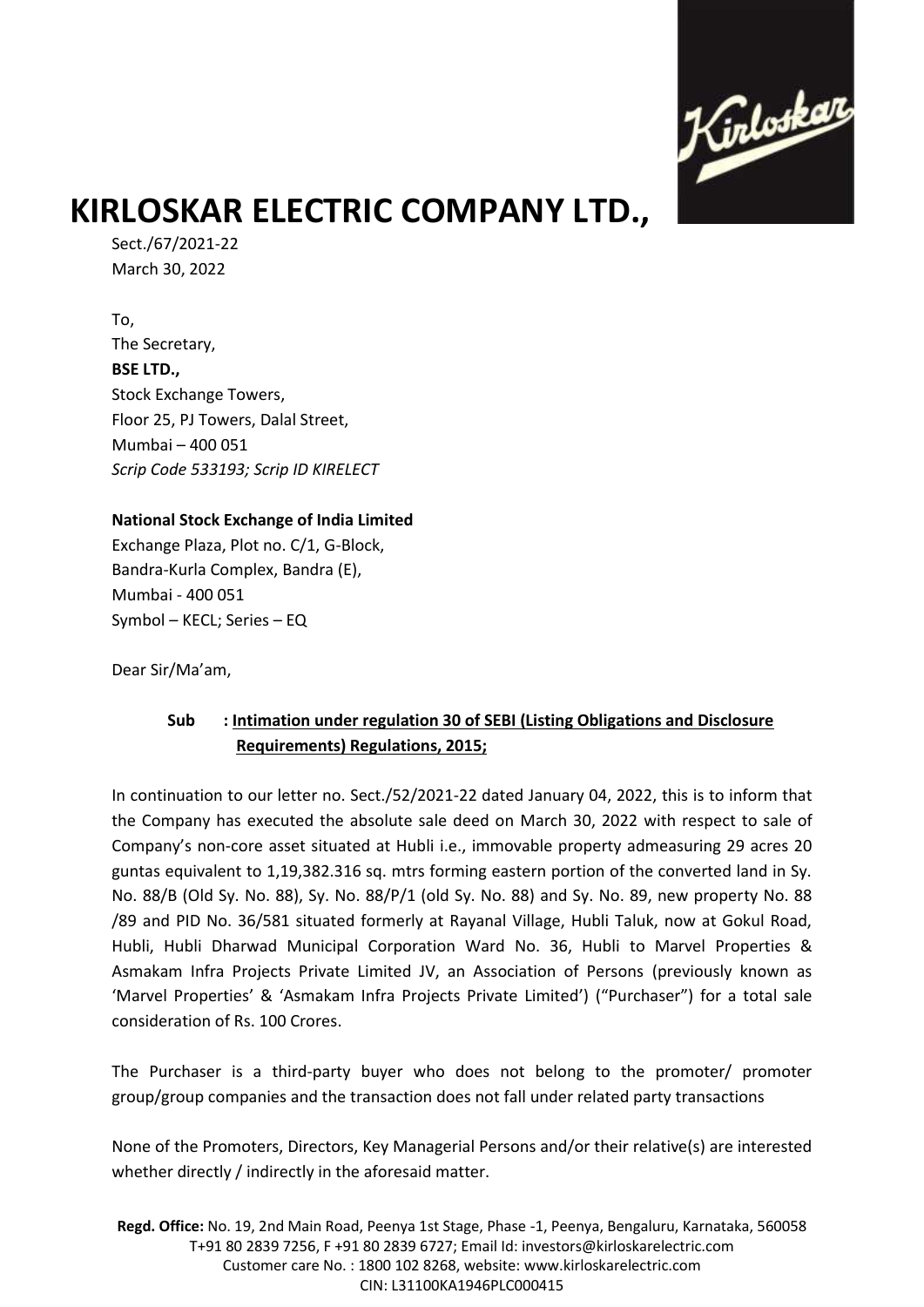

## **KIRLOSKAR ELECTRIC COMPANY LTD.,**

Sect./67/2021-22 March 30, 2022

To, The Secretary, **BSE LTD.,** Stock Exchange Towers, Floor 25, PJ Towers, Dalal Street, Mumbai – 400 051 *Scrip Code 533193; Scrip ID KIRELECT*

## **National Stock Exchange of India Limited**

Exchange Plaza, Plot no. C/1, G-Block, Bandra-Kurla Complex, Bandra (E), Mumbai - 400 051 Symbol – KECL; Series – EQ

Dear Sir/Ma'am,

## **Sub : Intimation under regulation 30 of SEBI (Listing Obligations and Disclosure Requirements) Regulations, 2015;**

In continuation to our letter no. Sect./52/2021-22 dated January 04, 2022, this is to inform that the Company has executed the absolute sale deed on March 30, 2022 with respect to sale of Company's non-core asset situated at Hubli i.e., immovable property admeasuring 29 acres 20 guntas equivalent to 1,19,382.316 sq. mtrs forming eastern portion of the converted land in Sy. No. 88/B (Old Sy. No. 88), Sy. No. 88/P/1 (old Sy. No. 88) and Sy. No. 89, new property No. 88 /89 and PID No. 36/581 situated formerly at Rayanal Village, Hubli Taluk, now at Gokul Road, Hubli, Hubli Dharwad Municipal Corporation Ward No. 36, Hubli to Marvel Properties & Asmakam Infra Projects Private Limited JV, an Association of Persons (previously known as 'Marvel Properties' & 'Asmakam Infra Projects Private Limited') ("Purchaser") for a total sale consideration of Rs. 100 Crores.

The Purchaser is a third-party buyer who does not belong to the promoter/ promoter group/group companies and the transaction does not fall under related party transactions

None of the Promoters, Directors, Key Managerial Persons and/or their relative(s) are interested whether directly / indirectly in the aforesaid matter.

**Regd. Office:** No. 19, 2nd Main Road, Peenya 1st Stage, Phase -1, Peenya, Bengaluru, Karnataka, 560058 T+91 80 2839 7256, F +91 80 2839 6727; Email Id: investors@kirloskarelectric.com Customer care No. : 1800 102 8268, website: www.kirloskarelectric.com CIN: L31100KA1946PLC000415